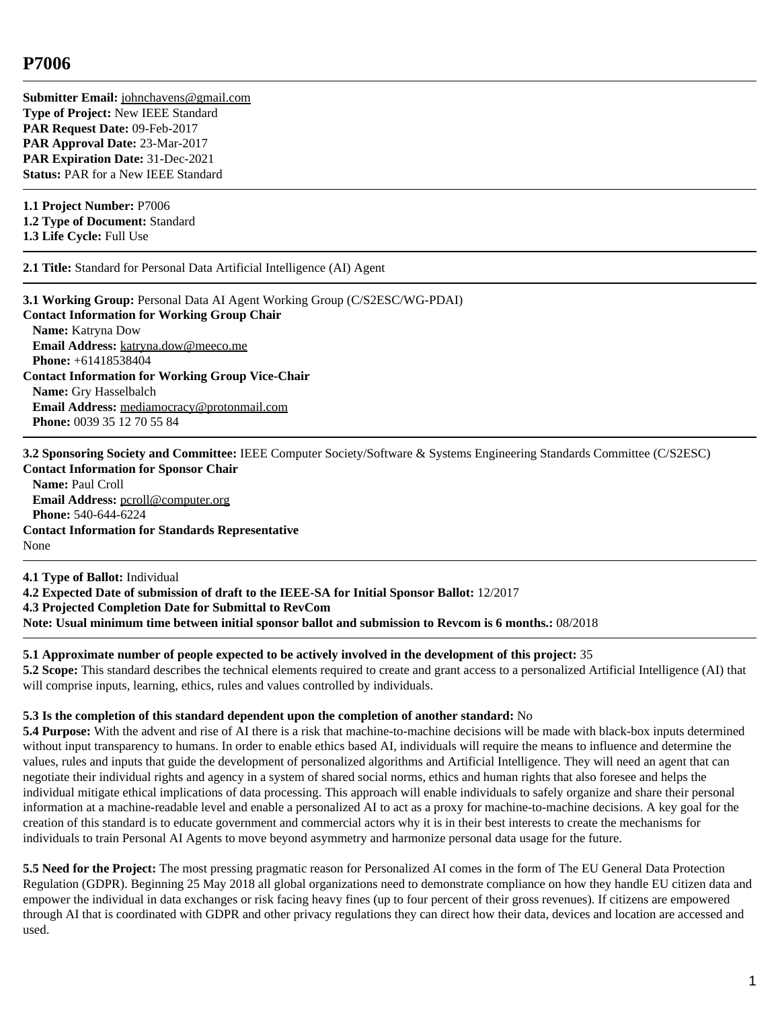**Submitter Email:** [johnchavens@gmail.com](mailto:johnchavens%40gmail.com) **Type of Project:** New IEEE Standard **PAR Request Date:** 09-Feb-2017 **PAR Approval Date:** 23-Mar-2017 **PAR Expiration Date:** 31-Dec-2021 **Status:** PAR for a New IEEE Standard

**1.1 Project Number:** P7006 **1.2 Type of Document:** Standard

**1.3 Life Cycle:** Full Use

**2.1 Title:** Standard for Personal Data Artificial Intelligence (AI) Agent

**3.1 Working Group:** Personal Data AI Agent Working Group (C/S2ESC/WG-PDAI) **Contact Information for Working Group Chair Name:** Katryna Dow **Email Address:** [katryna.dow@meeco.me](mailto:katryna.dow%40meeco.me) **Phone:** +61418538404 **Contact Information for Working Group Vice-Chair Name:** Gry Hasselbalch **Email Address:** [mediamocracy@protonmail.com](mailto:mediamocracy%40protonmail.com) **Phone:** 0039 35 12 70 55 84

**3.2 Sponsoring Society and Committee:** IEEE Computer Society/Software & Systems Engineering Standards Committee (C/S2ESC) **Contact Information for Sponsor Chair**

**Name:** Paul Croll **Email Address:** [pcroll@computer.org](mailto:pcroll%40computer.org) **Phone:** 540-644-6224 **Contact Information for Standards Representative** None

**4.1 Type of Ballot:** Individual

**4.2 Expected Date of submission of draft to the IEEE-SA for Initial Sponsor Ballot:** 12/2017 **4.3 Projected Completion Date for Submittal to RevCom Note: Usual minimum time between initial sponsor ballot and submission to Revcom is 6 months.:** 08/2018

## **5.1 Approximate number of people expected to be actively involved in the development of this project:** 35

**5.2 Scope:** This standard describes the technical elements required to create and grant access to a personalized Artificial Intelligence (AI) that will comprise inputs, learning, ethics, rules and values controlled by individuals.

## **5.3 Is the completion of this standard dependent upon the completion of another standard:** No

**5.4 Purpose:** With the advent and rise of AI there is a risk that machine-to-machine decisions will be made with black-box inputs determined without input transparency to humans. In order to enable ethics based AI, individuals will require the means to influence and determine the values, rules and inputs that guide the development of personalized algorithms and Artificial Intelligence. They will need an agent that can negotiate their individual rights and agency in a system of shared social norms, ethics and human rights that also foresee and helps the individual mitigate ethical implications of data processing. This approach will enable individuals to safely organize and share their personal information at a machine-readable level and enable a personalized AI to act as a proxy for machine-to-machine decisions. A key goal for the creation of this standard is to educate government and commercial actors why it is in their best interests to create the mechanisms for individuals to train Personal AI Agents to move beyond asymmetry and harmonize personal data usage for the future.

**5.5 Need for the Project:** The most pressing pragmatic reason for Personalized AI comes in the form of The EU General Data Protection Regulation (GDPR). Beginning 25 May 2018 all global organizations need to demonstrate compliance on how they handle EU citizen data and empower the individual in data exchanges or risk facing heavy fines (up to four percent of their gross revenues). If citizens are empowered through AI that is coordinated with GDPR and other privacy regulations they can direct how their data, devices and location are accessed and used.